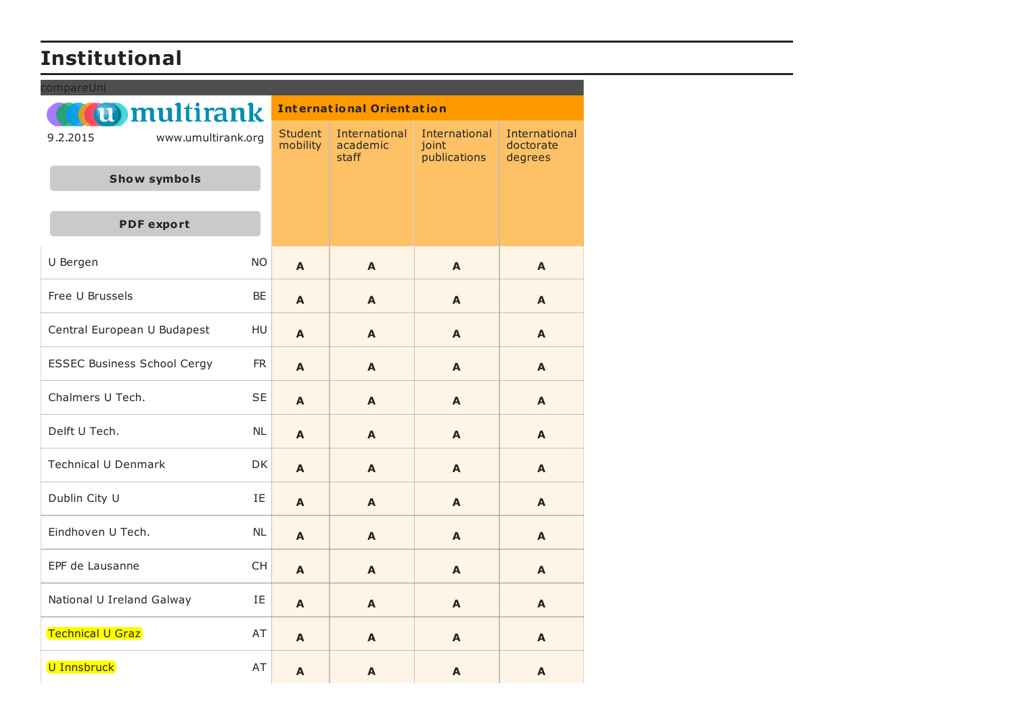## **Institutional**

| compareUni                         |           |                                  |                                           |                                        |                                              |  |  |
|------------------------------------|-----------|----------------------------------|-------------------------------------------|----------------------------------------|----------------------------------------------|--|--|
| <b>(u)</b> multirank               |           | <b>International Orientation</b> |                                           |                                        |                                              |  |  |
| 9.2.2015<br>www.umultirank.org     |           | <b>Student</b><br>mobility       | International<br>academic<br><b>staff</b> | International<br>joint<br>publications | <b>International</b><br>doctorate<br>degrees |  |  |
| <b>Show symbols</b>                |           |                                  |                                           |                                        |                                              |  |  |
|                                    |           |                                  |                                           |                                        |                                              |  |  |
| <b>PDF</b> export                  |           |                                  |                                           |                                        |                                              |  |  |
| U Bergen                           | <b>NO</b> | A                                | A                                         | A                                      | A                                            |  |  |
| Free U Brussels                    | <b>BE</b> | A                                | A                                         | A                                      | A                                            |  |  |
| Central European U Budapest        | HU        | A                                | A                                         | A                                      | A                                            |  |  |
| <b>ESSEC Business School Cergy</b> | <b>FR</b> | A                                | $\blacktriangle$                          | A                                      | $\blacktriangle$                             |  |  |
| Chalmers U Tech.                   | <b>SE</b> | A                                | A                                         | A                                      | A                                            |  |  |
| Delft U Tech.                      | <b>NL</b> | A                                | A                                         | A                                      | A                                            |  |  |
| <b>Technical U Denmark</b>         | <b>DK</b> | A                                | A                                         | A                                      | A                                            |  |  |
| Dublin City U                      | IE        | A                                | A                                         | A                                      | A                                            |  |  |
| Eindhoven U Tech.                  | <b>NL</b> | A                                | A                                         | A                                      | A                                            |  |  |
| EPF de Lausanne                    | <b>CH</b> | A                                | A                                         | A                                      | A                                            |  |  |
| National U Ireland Galway          | IE.       | A                                | A                                         | A                                      | A                                            |  |  |
| <b>Technical U Graz</b>            | AT        | A                                | A                                         | A                                      | A                                            |  |  |
| U Innsbruck                        | AT        | A                                | A                                         | A                                      | A                                            |  |  |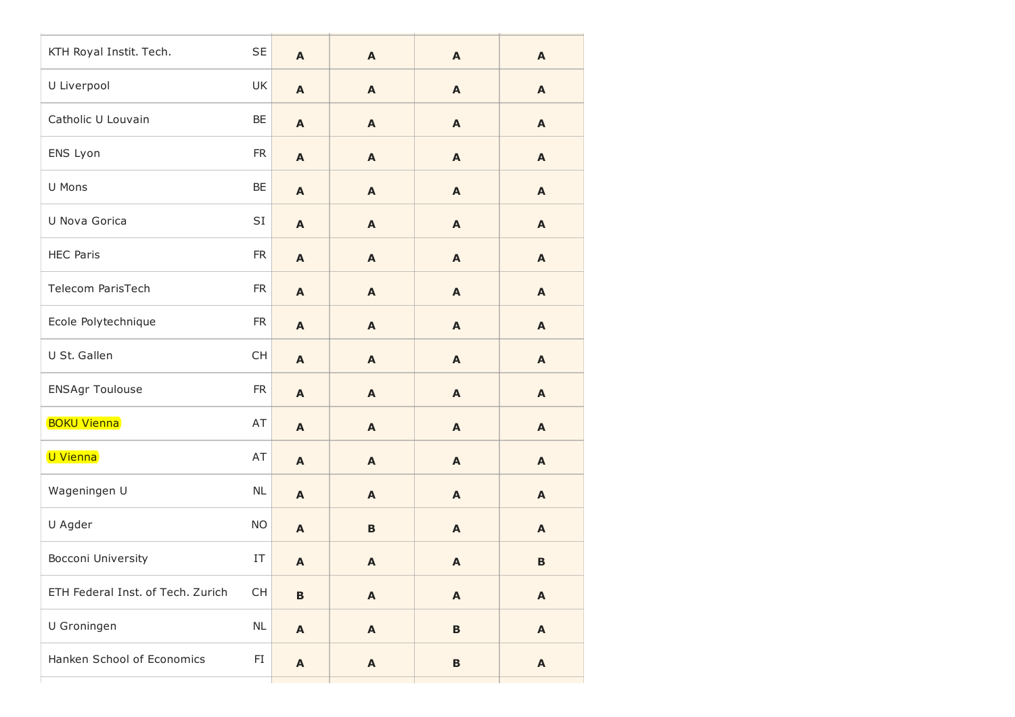| KTH Royal Instit. Tech.           | <b>SE</b>       | A                         | $\mathbf{A}$              | $\mathbf{A}$              | A                         |
|-----------------------------------|-----------------|---------------------------|---------------------------|---------------------------|---------------------------|
| U Liverpool                       | UK              | $\boldsymbol{\mathsf{A}}$ | $\mathbf{A}$              | A                         | A                         |
| Catholic U Louvain                | BE              | $\boldsymbol{\mathsf{A}}$ | $\mathbf{A}$              | $\mathbf{A}$              | A                         |
| ENS Lyon                          | <b>FR</b>       | $\mathbf{A}$              | $\mathbf{A}$              | $\mathbf{A}$              | A                         |
| U Mons                            | BE              | $\boldsymbol{\mathsf{A}}$ | $\mathbf{A}$              | $\mathbf{A}$              | A                         |
| U Nova Gorica                     | $\mathsf{SI}\,$ | $\boldsymbol{\mathsf{A}}$ | $\mathbf{A}$              | $\mathbf{A}$              | A                         |
| <b>HEC Paris</b>                  | <b>FR</b>       | A                         | $\mathbf{A}$              | $\mathbf{A}$              | A                         |
| Telecom ParisTech                 | ${\sf FR}$      | $\boldsymbol{\mathsf{A}}$ | $\mathbf{A}$              | $\mathbf{A}$              | A                         |
| Ecole Polytechnique               | <b>FR</b>       | $\boldsymbol{\mathsf{A}}$ | $\mathbf{A}$              | $\mathbf{A}$              | A                         |
| U St. Gallen                      | CH              | $\mathbf{A}$              | $\mathbf{A}$              | $\mathbf{A}$              | A                         |
| <b>ENSAgr Toulouse</b>            | ${\sf FR}$      | $\mathbf{A}$              | $\boldsymbol{\mathsf{A}}$ | A                         | A                         |
| <b>BOKU Vienna</b>                | AT              | $\boldsymbol{\mathsf{A}}$ | $\mathbf{A}$              | $\mathbf{A}$              | A                         |
| U Vienna                          | AT              | $\mathbf{A}$              | $\mathbf{A}$              | $\mathbf{A}$              | A                         |
| Wageningen U                      | <b>NL</b>       | $\boldsymbol{\mathsf{A}}$ | $\boldsymbol{\mathsf{A}}$ | $\mathbf{A}$              | A                         |
| U Agder                           | <b>NO</b>       | $\mathbf{A}$              | B                         | $\mathbf{A}$              | A                         |
| Bocconi University                | IT              | $\mathbf{A}$              | $\mathbf{A}$              | $\mathbf{A}$              | $\mathbf B$               |
| ETH Federal Inst. of Tech. Zurich | <b>CH</b>       | $\mathbf{B}$              | $\boldsymbol{\mathsf{A}}$ | $\boldsymbol{\mathsf{A}}$ | $\boldsymbol{\mathsf{A}}$ |
| U Groningen                       | $\sf NL$        | $\boldsymbol{\mathsf{A}}$ | $\boldsymbol{\mathsf{A}}$ | $\mathbf B$               | A                         |
| Hanken School of Economics        | FI              | $\boldsymbol{\mathsf{A}}$ | $\boldsymbol{\mathsf{A}}$ | B                         | A                         |
|                                   |                 |                           |                           |                           |                           |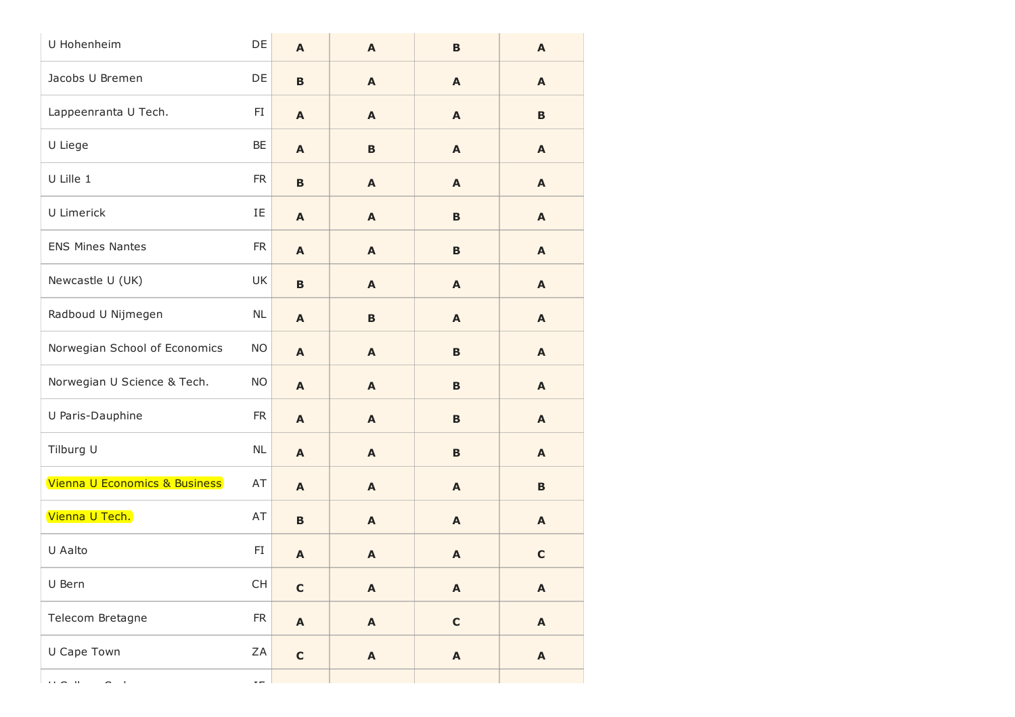| U Hohenheim                                                                                             | DE                       | A                         | A                         | $\mathbf B$               | A                         |
|---------------------------------------------------------------------------------------------------------|--------------------------|---------------------------|---------------------------|---------------------------|---------------------------|
| Jacobs U Bremen                                                                                         | DE                       | $\, {\bf B}$              | A                         | $\mathbf{A}$              | A                         |
| Lappeenranta U Tech.                                                                                    | FI                       | $\mathbf{A}$              | A                         | A                         | B                         |
| U Liege                                                                                                 | BE                       | $\mathbf{A}$              | B                         | A                         | A                         |
| U Lille 1                                                                                               | <b>FR</b>                | $\, {\bf B}$              | A                         | $\mathbf{A}$              | A                         |
| U Limerick                                                                                              | IE                       | $\mathbf{A}$              | A                         | B                         | A                         |
| <b>ENS Mines Nantes</b>                                                                                 | <b>FR</b>                | A                         | A                         | B                         | $\mathbf{A}$              |
| Newcastle U (UK)                                                                                        | UK                       | $\, {\bf B}$              | A                         | $\mathbf{A}$              | $\mathbf{A}$              |
| Radboud U Nijmegen                                                                                      | NL                       | $\mathbf{A}$              | B                         | A                         | A                         |
| Norwegian School of Economics                                                                           | <b>NO</b>                | $\mathbf{A}$              | A                         | B                         | $\mathbf{A}$              |
| Norwegian U Science & Tech.                                                                             | <b>NO</b>                | $\mathbf{A}$              | A                         | B                         | $\mathbf{A}$              |
| U Paris-Dauphine                                                                                        | <b>FR</b>                | $\mathbf{A}$              | A                         | B                         | A                         |
| Tilburg U                                                                                               | NL                       | $\mathbf{A}$              | A                         | B                         | $\mathbf{A}$              |
| Vienna U Economics & Business                                                                           | AT                       | $\mathbf{A}$              | A                         | $\mathbf{A}$              | B                         |
| Vienna U Tech.                                                                                          | AT                       | $\mathbf B$               | A                         | A                         | A                         |
| U Aalto                                                                                                 | FI                       | A                         | A                         | A                         | $\mathbf c$               |
| U Bern                                                                                                  | CH                       | $\mathbf C$               | $\boldsymbol{\mathsf{A}}$ | $\boldsymbol{\mathsf{A}}$ | $\boldsymbol{\mathsf{A}}$ |
| Telecom Bretagne                                                                                        | ${\sf FR}$               | $\boldsymbol{\mathsf{A}}$ | $\boldsymbol{\mathsf{A}}$ | $\mathbf c$               | $\boldsymbol{\mathsf{A}}$ |
| U Cape Town                                                                                             | ZA                       | $\mathbf c$               | $\boldsymbol{\mathsf{A}}$ | $\boldsymbol{\mathsf{A}}$ | $\boldsymbol{\mathsf{A}}$ |
| $\mathbf{r} \cdot \mathbf{r} = \mathbf{r} \cdot \mathbf{r}$<br>$\mathbf{r}$<br>$\overline{\phantom{0}}$ | $\overline{\phantom{a}}$ |                           |                           |                           |                           |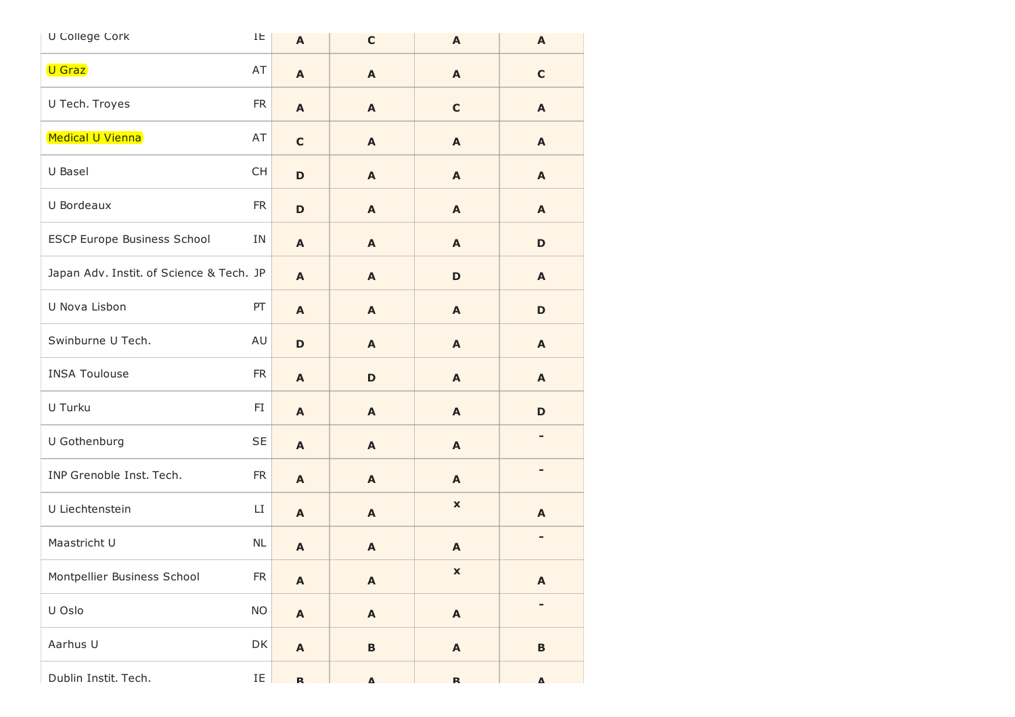| U College Cork                           | IE         | $\boldsymbol{\mathsf{A}}$ | $\mathbf c$               | A                         | A                         |
|------------------------------------------|------------|---------------------------|---------------------------|---------------------------|---------------------------|
| U Graz                                   | AT         | $\mathbf{A}$              | A                         | A                         | $\mathbf C$               |
| U Tech. Troyes                           | <b>FR</b>  | $\mathbf{A}$              | A                         | $\mathbf C$               | A                         |
| Medical U Vienna                         | AT         | $\mathbf C$               | A                         | A                         | A                         |
| U Basel                                  | <b>CH</b>  | $\mathbf D$               | A                         | A                         | A                         |
| U Bordeaux                               | <b>FR</b>  | $\mathbf D$               | A                         | A                         | $\mathbf{A}$              |
| <b>ESCP Europe Business School</b>       | ΙN         | $\mathbf{A}$              | A                         | $\mathbf{A}$              | D                         |
| Japan Adv. Instit. of Science & Tech. JP |            | $\mathbf{A}$              | A                         | $\mathbf D$               | A                         |
| U Nova Lisbon                            | PT         | A                         | A                         | A                         | D                         |
| Swinburne U Tech.                        | AU         | D                         | A                         | A                         | $\mathbf{A}$              |
| <b>INSA Toulouse</b>                     | <b>FR</b>  | $\mathbf{A}$              | D                         | A                         | A                         |
| U Turku                                  | FI         | A                         | A                         | A                         | D                         |
| U Gothenburg                             | <b>SE</b>  | A                         | A                         | A                         |                           |
| INP Grenoble Inst. Tech.                 | <b>FR</b>  | $\mathbf{A}$              | A                         | A                         | ۰                         |
| U Liechtenstein                          | LI         | A                         | A                         | $\mathbf{x}$              | A                         |
| Maastricht U                             | NL         | A                         | A                         | A                         | ۰                         |
| Montpellier Business School              | ${\sf FR}$ | $\boldsymbol{\mathsf{A}}$ | A                         | X                         | $\boldsymbol{\mathsf{A}}$ |
| U Oslo                                   | <b>NO</b>  | $\boldsymbol{\mathsf{A}}$ | $\boldsymbol{\mathsf{A}}$ | $\boldsymbol{\mathsf{A}}$ | ۰                         |
| Aarhus U                                 | DK         | $\boldsymbol{\mathsf{A}}$ | $\, {\bf B}$              | $\mathbf{A}$              | $\, {\bf B}$              |
| Dublin Instit. Tech.                     | IE         | R                         | $\pmb{\Lambda}$           | $\mathbf{R}$              | $\pmb{\Lambda}$           |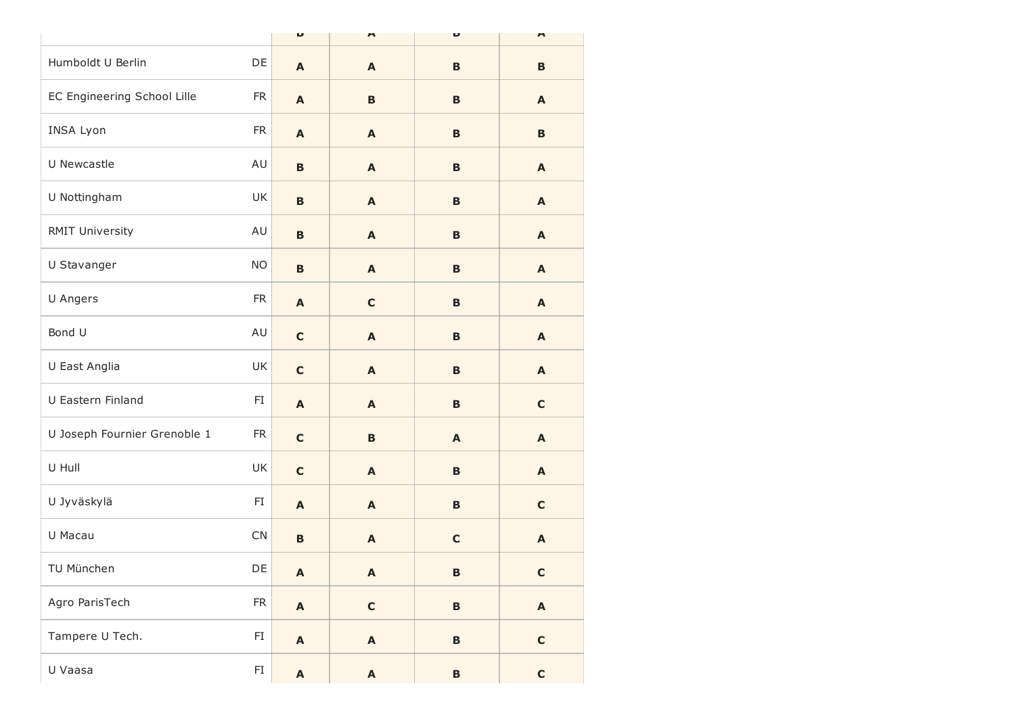|                              |                        | U                         | n                         | U               | $\overline{ }$            |
|------------------------------|------------------------|---------------------------|---------------------------|-----------------|---------------------------|
| Humboldt U Berlin            | DE                     | A                         | A                         | $\mathbf B$     | B                         |
| EC Engineering School Lille  | <b>FR</b>              | $\boldsymbol{\mathsf{A}}$ | $\, {\bf B}$              | B               | A                         |
| INSA Lyon                    | <b>FR</b>              | A                         | $\mathbf{A}$              | B               | B                         |
| U Newcastle                  | AU                     | $\mathbf B$               | A                         | B               | $\mathbf{A}$              |
| U Nottingham                 | UK                     | $\, {\bf B}$              | $\mathbf{A}$              | B               | A                         |
| <b>RMIT University</b>       | AU                     | $\mathbf B$               | $\boldsymbol{\mathsf{A}}$ | B               | A                         |
| U Stavanger                  | <b>NO</b>              | $\mathbf B$               | A                         | $\mathbf B$     | $\mathbf{A}$              |
| U Angers                     | <b>FR</b>              | $\boldsymbol{\mathsf{A}}$ | $\mathbf C$               | B               | $\boldsymbol{\mathsf{A}}$ |
| Bond U                       | AU                     | $\mathbf c$               | $\mathbf{A}$              | $\, {\bf B}$    | $\mathbf{A}$              |
| U East Anglia                | UK                     | $\mathbf c$               | A                         | B               | $\mathbf{A}$              |
| U Eastern Finland            | FI                     | $\boldsymbol{\mathsf{A}}$ | $\mathbf{A}$              | B               | $\mathbf C$               |
| U Joseph Fournier Grenoble 1 | ${\sf FR}$             | $\mathbf C$               | $\, {\bf B}$              | $\mathbf{A}$    | A                         |
| U Hull                       | UK                     | $\mathbf c$               | A                         | $\, {\bf B}$    | $\mathbf{A}$              |
| U Jyväskylä                  | $\mathsf{F}\mathbf{I}$ | $\boldsymbol{\mathsf{A}}$ | $\mathbf{A}$              | B               | $\mathbf C$               |
| U Macau                      | CN                     | $\mathbf B$               | $\boldsymbol{\mathsf{A}}$ | $\mathbf c$     | $\boldsymbol{\mathsf{A}}$ |
| TU München                   | DE                     | A                         | A                         | B               | C                         |
| Agro ParisTech               | ${\sf FR}$             | $\boldsymbol{\mathsf{A}}$ | $\mathbf c$               | $\, {\bf B}$    | $\boldsymbol{\mathsf{A}}$ |
| Tampere U Tech.              | $\mathsf{FI}$          | $\boldsymbol{\mathsf{A}}$ | $\boldsymbol{\mathsf{A}}$ | $\, {\bf B} \,$ | $\mathbf C$               |
| U Vaasa                      | FI                     | $\boldsymbol{\mathsf{A}}$ | $\boldsymbol{\mathsf{A}}$ | $\, {\bf B} \,$ | $\mathbf C$               |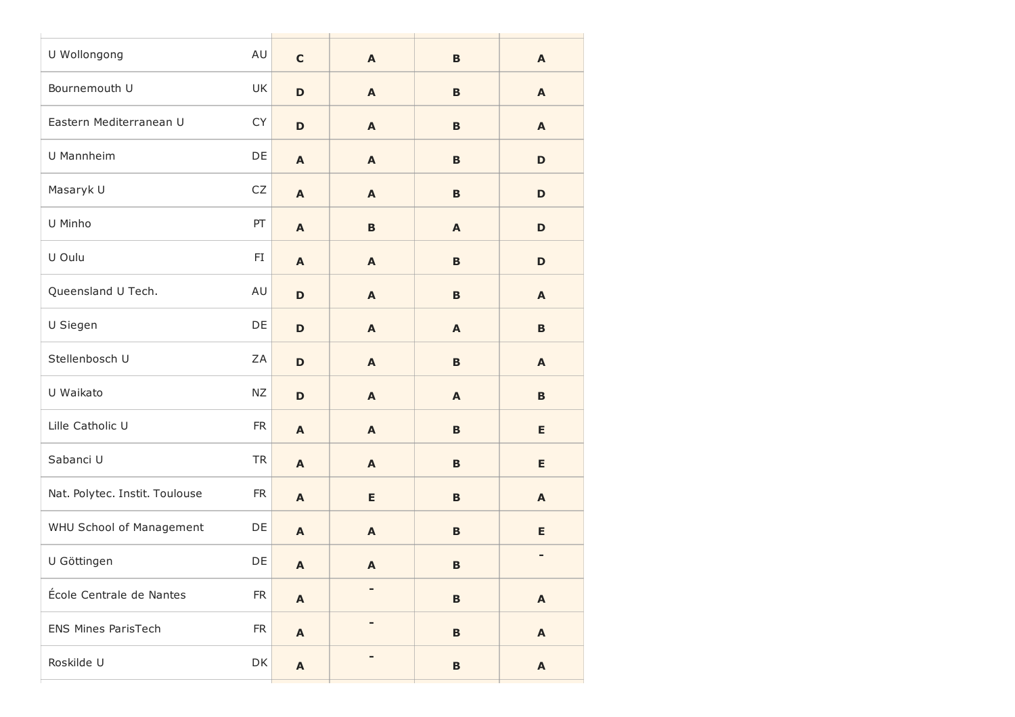| U Wollongong                   | AU         | $\mathbf c$               | $\mathbf{A}$ | $\mathbf B$  | $\mathbf{A}$              |
|--------------------------------|------------|---------------------------|--------------|--------------|---------------------------|
| Bournemouth U                  | UK         | $\mathbf D$               | A            | B            | $\mathbf{A}$              |
| Eastern Mediterranean U        | CY         | $\mathbf D$               | A            | $\mathbf B$  | $\mathbf{A}$              |
| U Mannheim                     | DE         | $\mathbf{A}$              | A            | B            | D                         |
| Masaryk U                      | ${\sf CZ}$ | $\boldsymbol{\mathsf{A}}$ | A            | B            | D                         |
| U Minho                        | PT         | A                         | B            | A            | D                         |
| U Oulu                         | FI         | $\mathbf{A}$              | A            | B            | D                         |
| Queensland U Tech.             | AU         | $\mathbf D$               | $\mathbf{A}$ | B            | $\mathbf{A}$              |
| U Siegen                       | DE         | $\mathbf D$               | A            | A            | B                         |
| Stellenbosch U                 | ZA         | $\mathbf D$               | A            | B            | $\mathbf{A}$              |
| U Waikato                      | ΝZ         | D                         | $\mathbf{A}$ | $\mathbf{A}$ | $\, {\bf B}$              |
| Lille Catholic U               | ${\sf FR}$ | $\mathbf{A}$              | A            | $\mathbf B$  | E                         |
| Sabanci U                      | <b>TR</b>  | $\mathbf{A}$              | A            | B            | Е                         |
| Nat. Polytec. Instit. Toulouse | ${\sf FR}$ | $\boldsymbol{\mathsf{A}}$ | E            | B            | A                         |
| WHU School of Management       | DE         | $\mathbf{A}$              | A            | $\mathbf B$  | Е                         |
| U Göttingen                    | DE         | $\boldsymbol{\mathsf{A}}$ | A            | $\mathbf B$  | -                         |
| École Centrale de Nantes       | ${\sf FR}$ | $\boldsymbol{\mathsf{A}}$ |              | $\mathbf B$  | $\boldsymbol{\mathsf{A}}$ |
| <b>ENS Mines ParisTech</b>     | ${\sf FR}$ | $\boldsymbol{\mathsf{A}}$ | -            | B            | $\blacktriangle$          |
| Roskilde U                     | DK         | $\boldsymbol{\mathsf{A}}$ |              | B            | $\boldsymbol{\mathsf{A}}$ |
|                                |            |                           |              |              |                           |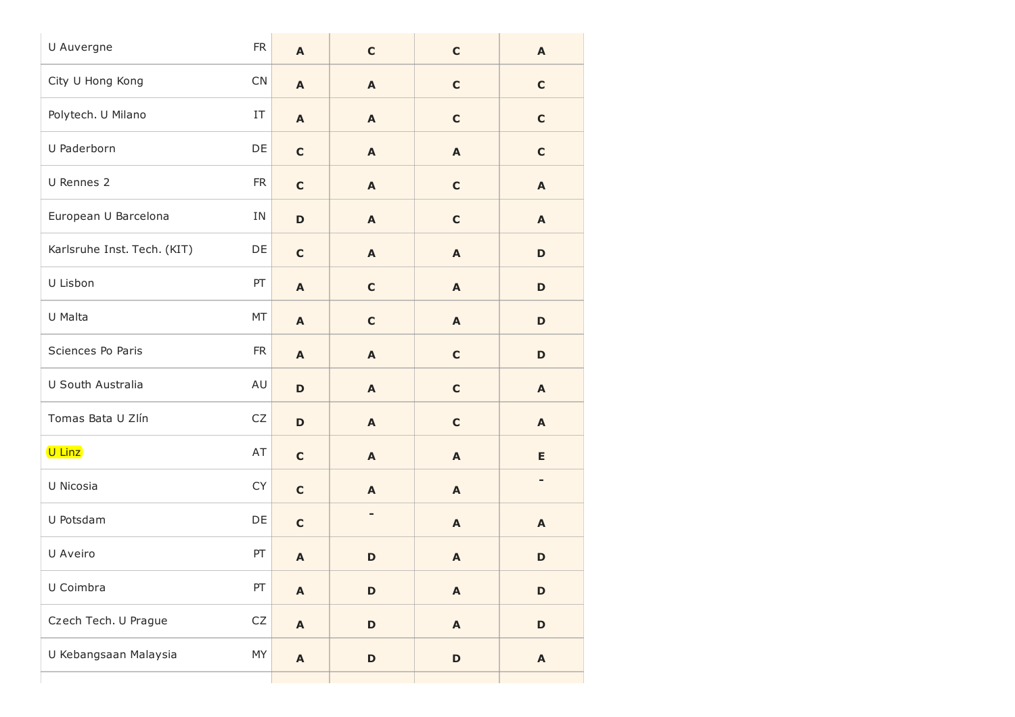| U Auvergne                  | ${\sf FR}$ | A                         | $\mathbf C$  | $\mathbf c$               | $\boldsymbol{\mathsf{A}}$ |
|-----------------------------|------------|---------------------------|--------------|---------------------------|---------------------------|
| City U Hong Kong            | CN         | A                         | $\mathbf{A}$ | $\mathbf C$               | $\mathbf C$               |
| Polytech. U Milano          | IT         | A                         | $\mathbf{A}$ | $\mathbf C$               | $\mathbf C$               |
| U Paderborn                 | DE         | $\mathbf c$               | $\mathbf{A}$ | $\boldsymbol{\mathsf{A}}$ | $\mathbf c$               |
| U Rennes 2                  | <b>FR</b>  | $\mathbf c$               | $\mathbf{A}$ | $\mathbf C$               | A                         |
| European U Barcelona        | IN         | D                         | $\mathbf{A}$ | $\mathbf C$               | $\boldsymbol{\mathsf{A}}$ |
| Karlsruhe Inst. Tech. (KIT) | DE         | $\mathbf c$               | $\mathbf{A}$ | $\boldsymbol{\mathsf{A}}$ | D                         |
| U Lisbon                    | PT         | A                         | $\mathbf c$  | A                         | D                         |
| U Malta                     | MT         | A                         | $\mathbf C$  | $\boldsymbol{\mathsf{A}}$ | $\mathbf D$               |
| Sciences Po Paris           | <b>FR</b>  | A                         | $\mathbf{A}$ | $\mathbf c$               | D                         |
| U South Australia           | AU         | D                         | $\mathbf{A}$ | $\mathbf c$               | A                         |
| Tomas Bata U Zlín           | CZ         | $\mathbf D$               | $\mathbf{A}$ | $\mathbf C$               | $\boldsymbol{\mathsf{A}}$ |
| U Linz                      | AT         | $\mathbf c$               | A            | A                         | E                         |
| U Nicosia                   | CY         | $\mathbf c$               | $\mathbf{A}$ | A                         | -                         |
| U Potsdam                   | DE         | $\mathbf c$               | -            | A                         | A                         |
| U Aveiro                    | PT         | A                         | $\mathbf D$  | A                         | $\mathbf D$               |
| U Coimbra                   | PT         | $\boldsymbol{\mathsf{A}}$ | $\mathbf D$  | $\boldsymbol{\mathsf{A}}$ | $\mathbf D$               |
| Czech Tech. U Prague        | ${\sf CZ}$ | A                         | $\mathbf D$  | $\boldsymbol{\mathsf{A}}$ | $\mathbf D$               |
| U Kebangsaan Malaysia       | MY         | $\mathbf{A}$              | $\mathsf D$  | $\mathbf D$               | $\boldsymbol{\mathsf{A}}$ |
|                             |            |                           |              |                           |                           |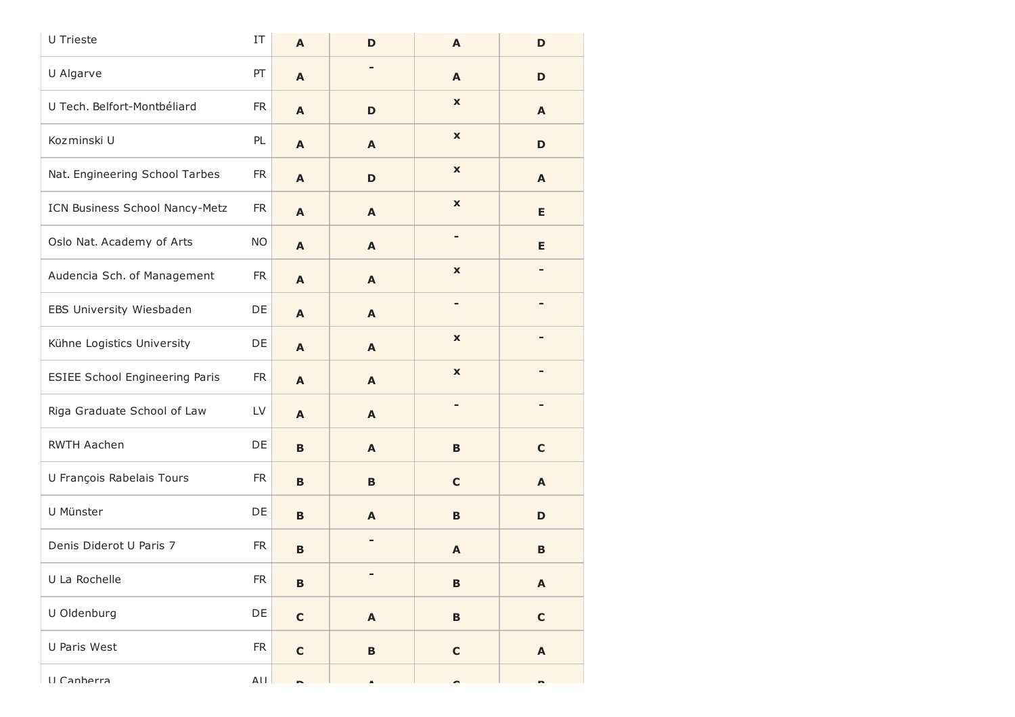| U Trieste                             | $\ensuremath{\text{IT}}$ | A            | D            | $\mathbf{A}$              | D           |
|---------------------------------------|--------------------------|--------------|--------------|---------------------------|-------------|
| U Algarve                             | PT                       | A            |              | A                         | D           |
| U Tech. Belfort-Montbéliard           | <b>FR</b>                | A            | D            | $\boldsymbol{\mathsf{x}}$ | A           |
| Kozminski U                           | PL                       | A            | A            | $\boldsymbol{\mathsf{x}}$ | D           |
| Nat. Engineering School Tarbes        | FR.                      | A            | D            | $\boldsymbol{\mathsf{x}}$ | A           |
| ICN Business School Nancy-Metz        | <b>FR</b>                | A            | A            | $\boldsymbol{\mathsf{x}}$ | E           |
| Oslo Nat. Academy of Arts             | <b>NO</b>                | A            | A            | -                         | E.          |
| Audencia Sch. of Management           | <b>FR</b>                | A            | A            | $\pmb{\mathsf{x}}$        |             |
| EBS University Wiesbaden              | DE                       | A            | A            | -                         |             |
| Kühne Logistics University            | DE                       | A            | A            | $\boldsymbol{\mathsf{x}}$ |             |
| <b>ESIEE School Engineering Paris</b> | <b>FR</b>                | A            | A            | $\boldsymbol{\mathsf{x}}$ |             |
| Riga Graduate School of Law           | LV                       | A            | A            | -                         |             |
| <b>RWTH Aachen</b>                    | DE                       | $\mathbf B$  | A            | B                         | $\mathbf c$ |
| U François Rabelais Tours             | <b>FR</b>                | B            | B            | $\mathbf C$               | A           |
| U Münster                             | DE                       | $\mathbf B$  | A            | B                         | D           |
| Denis Diderot U Paris 7               | <b>FR</b>                | B            | -            | A                         | B           |
| U La Rochelle                         | <b>FR</b>                | $\, {\bf B}$ |              | $\, {\bf B}$              | A           |
| U Oldenburg                           | DE                       | $\mathbf C$  | $\mathbf{A}$ | $\, {\bf B}$              | $\mathbf C$ |
| U Paris West                          | ${\sf FR}$               | $\mathbf C$  | $\, {\bf B}$ | $\mathbf C$               | A           |
| II Canherra                           | $\Delta$ l l             |              |              |                           |             |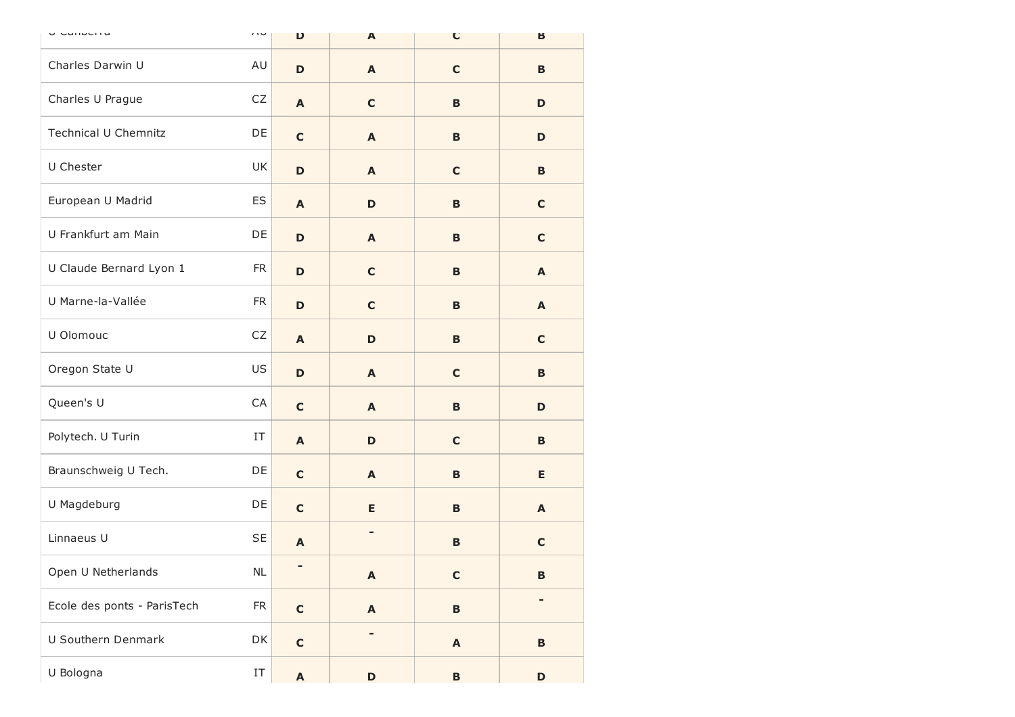| u Cumuchia                  | $\sqrt{ }$               | D                         | $\mathbf{A}$              | C                         | Б            |
|-----------------------------|--------------------------|---------------------------|---------------------------|---------------------------|--------------|
| Charles Darwin U            | AU                       | D                         | A                         | $\mathbf c$               | B            |
| Charles U Prague            | CZ                       | $\mathbf{A}$              | $\mathbf C$               | B                         | D            |
| <b>Technical U Chemnitz</b> | DE                       | $\mathbf C$               | A                         | B                         | D            |
| U Chester                   | UK                       | $\mathbf D$               | A                         | $\mathbf C$               | B            |
| European U Madrid           | ES                       | A                         | D                         | B                         | $\mathbf C$  |
| U Frankfurt am Main         | DE                       | D                         | A                         | B                         | $\mathbf c$  |
| U Claude Bernard Lyon 1     | <b>FR</b>                | $\mathbf D$               | $\mathbf C$               | B                         | A            |
| U Marne-la-Vallée           | <b>FR</b>                | $\mathbf D$               | $\mathbf C$               | B                         | A            |
| U Olomouc                   | CZ                       | A                         | D                         | B                         | $\mathbf c$  |
| Oregon State U              | US                       | $\mathbf D$               | A                         | $\mathbf c$               | B            |
| Queen's U                   | CA                       | $\mathbf C$               | A                         | B                         | D            |
| Polytech. U Turin           | IT                       | A                         | D                         | $\mathbf C$               | B            |
| Braunschweig U Tech.        | DE                       | $\mathbf C$               | A                         | B                         | Е            |
| U Magdeburg                 | DE                       | $\mathbf C$               | E                         | B                         | A            |
| Linnaeus U                  | <b>SE</b>                | A                         |                           | B                         | $\mathbf c$  |
| Open U Netherlands          | NL                       | ٠                         | $\boldsymbol{\mathsf{A}}$ | $\mathbf C$               | $\, {\bf B}$ |
| Ecole des ponts - ParisTech | ${\sf FR}$               | $\mathbf c$               | $\boldsymbol{\mathsf{A}}$ | $\, {\bf B} \,$           | -            |
| U Southern Denmark          | DK                       | $\mathbf c$               | -                         | $\boldsymbol{\mathsf{A}}$ | $\, {\bf B}$ |
| U Bologna                   | $\ensuremath{\text{IT}}$ | $\boldsymbol{\mathsf{A}}$ | D                         | $\, {\bf B}$              | $\mathbf D$  |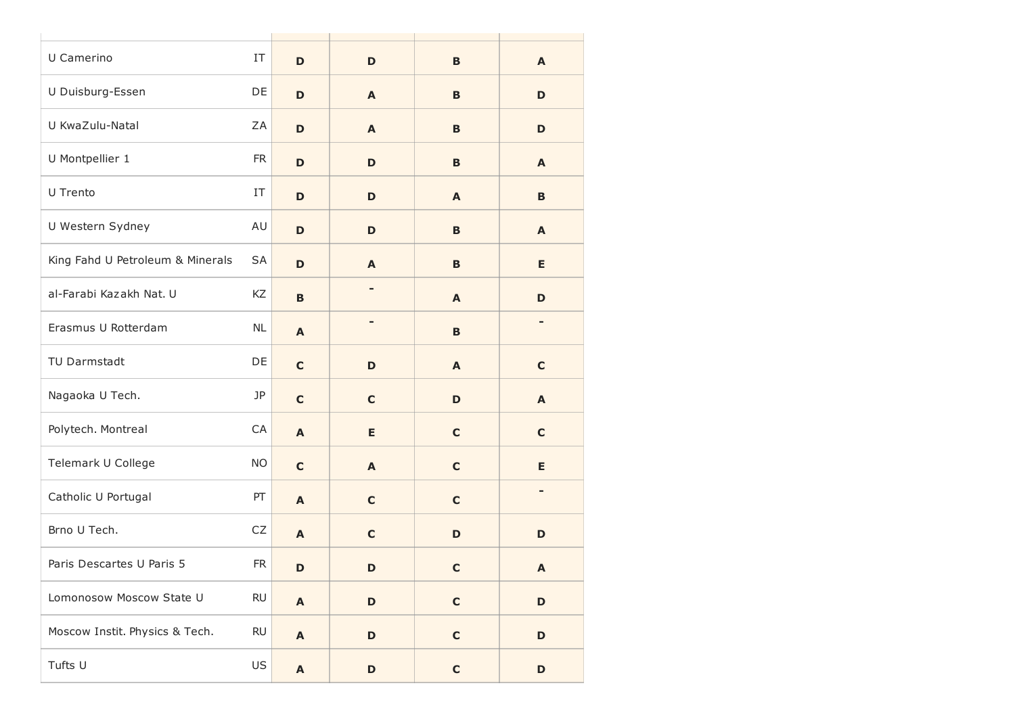| U Camerino                       | IT        | D                         | $\mathbf D$ | B           | A           |
|----------------------------------|-----------|---------------------------|-------------|-------------|-------------|
| U Duisburg-Essen                 | DE        | D                         | A           | B           | D           |
| U KwaZulu-Natal                  | ΖA        | D                         | A           | B           | D           |
| U Montpellier 1                  | <b>FR</b> | D                         | D           | B           | A           |
| U Trento                         | IT        | D                         | D           | A           | B           |
| U Western Sydney                 | AU        | D                         | D           | B           | A           |
| King Fahd U Petroleum & Minerals | SА        | $\mathbf D$               | A           | B           | E           |
| al-Farabi Kazakh Nat. U          | KZ        | $\mathbf B$               |             | A           | D           |
| Erasmus U Rotterdam              | <b>NL</b> | A                         |             | B           |             |
| TU Darmstadt                     | DE        | $\mathbf C$               | D           | A           | $\mathbf C$ |
| Nagaoka U Tech.                  | JP        | $\mathbf C$               | $\mathbf c$ | D           | A           |
| Polytech. Montreal               | CA        | $\mathbf{A}$              | E           | $\mathbf C$ | $\mathbf c$ |
| Telemark U College               | <b>NO</b> | $\mathbf C$               | A           | $\mathbf C$ | Е           |
| Catholic U Portugal              | PT        | A                         | $\mathbf c$ | $\mathbf C$ |             |
| Brno U Tech.                     | CZ        | $\mathbf{A}$              | $\mathbf c$ | D           | D           |
| Paris Descartes U Paris 5        | <b>FR</b> | D                         | D           | $\mathbf C$ | A           |
| Lomonosow Moscow State U         | <b>RU</b> | $\boldsymbol{\mathsf{A}}$ | D           | $\mathbf C$ | $\mathbf D$ |
| Moscow Instit. Physics & Tech.   | <b>RU</b> | $\boldsymbol{\mathsf{A}}$ | D           | $\mathbf C$ | D           |
| Tufts U                          | US        | $\boldsymbol{\mathsf{A}}$ | D           | $\mathbf C$ | D           |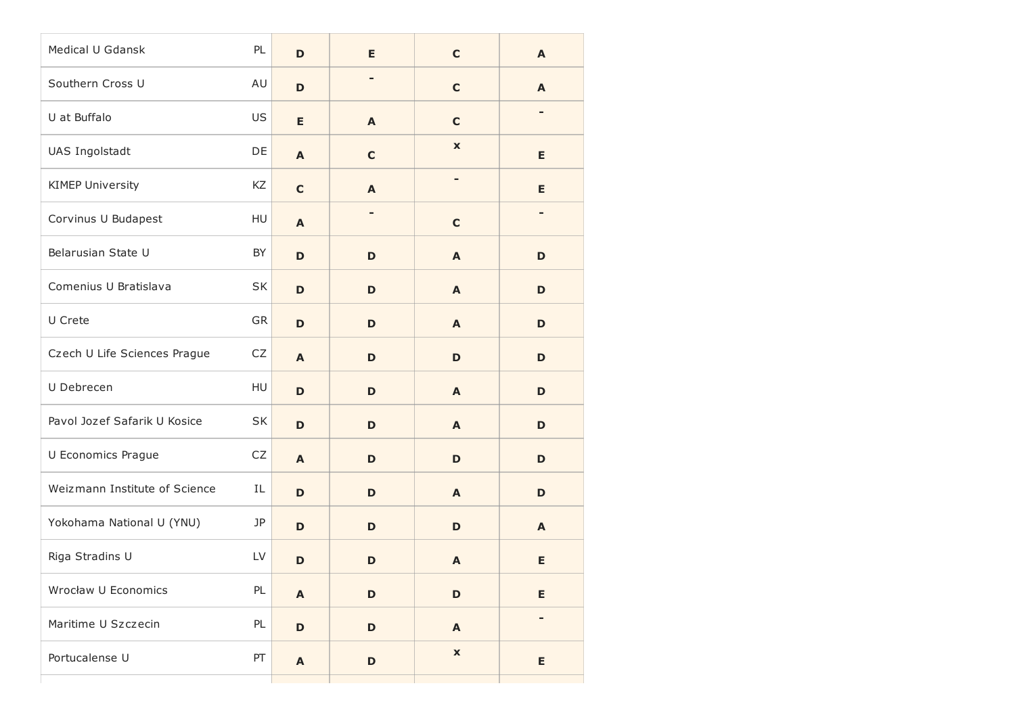| Medical U Gdansk              | PL         | D                         | E              | $\mathbf C$               | $\mathbf{A}$             |
|-------------------------------|------------|---------------------------|----------------|---------------------------|--------------------------|
| Southern Cross U              | AU         | D                         |                | $\mathbf C$               | $\mathbf{A}$             |
| U at Buffalo                  | US         | E                         | A              | $\mathbf C$               |                          |
| UAS Ingolstadt                | DE         | A                         | $\mathbf c$    | $\mathbf x$               | E                        |
| <b>KIMEP University</b>       | KZ         | $\mathbf C$               | A              |                           | E                        |
| Corvinus U Budapest           | HU         | A                         | $\blacksquare$ | $\mathbf c$               |                          |
| Belarusian State U            | BY         | D                         | D              | $\mathbf{A}$              | D                        |
| Comenius U Bratislava         | <b>SK</b>  | D                         | D              | A                         | D                        |
| U Crete                       | GR         | D                         | D              | $\mathbf{A}$              | D                        |
| Czech U Life Sciences Prague  | ${\sf CZ}$ | A                         | D              | D                         | D                        |
| U Debrecen                    | HU         | D                         | D              | A                         | D                        |
| Pavol Jozef Safarik U Kosice  | SK         | D                         | D              | $\mathbf{A}$              | D                        |
| U Economics Prague            | ${\sf CZ}$ | A                         | D              | D                         | D                        |
| Weizmann Institute of Science | IL         | D                         | D              | A                         | D                        |
| Yokohama National U (YNU)     | JP         | D                         | D              | D                         | $\mathbf{A}$             |
| Riga Stradins U               | LV         | D                         | D              | A                         | Е                        |
| Wrocław U Economics           | PL         | $\mathbf{A}$              | $\mathbf D$    | $\mathbf D$               | E                        |
| Maritime U Szczecin           | PL         | $\mathbf D$               | D              | $\boldsymbol{\mathsf{A}}$ | $\overline{\phantom{a}}$ |
| Portucalense U                | PT         | $\boldsymbol{\mathsf{A}}$ | $\mathbf D$    | $\pmb{\mathsf{x}}$        | E                        |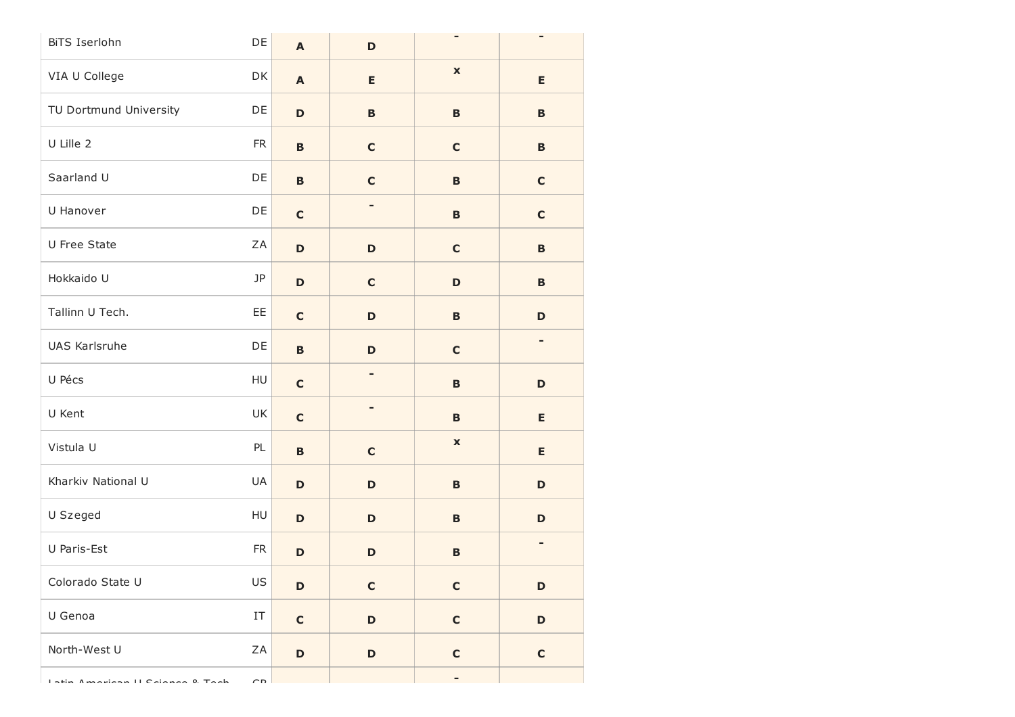| BiTS Iserlohn           | DE                       | $\mathbf{A}$              | $\mathbf D$ |                    |              |
|-------------------------|--------------------------|---------------------------|-------------|--------------------|--------------|
| VIA U College           | DK                       | $\boldsymbol{\mathsf{A}}$ | E           | $\pmb{\mathsf{x}}$ | E            |
| TU Dortmund University  | DE                       | D                         | B           | $\, {\bf B}$       | B            |
| U Lille 2               | <b>FR</b>                | $\, {\bf B}$              | $\mathbf C$ | $\mathbf C$        | B            |
| Saarland U              | DE                       | $\mathbf B$               | $\mathbf C$ | $\, {\bf B}$       | $\mathbf C$  |
| U Hanover               | DE                       | $\mathbf C$               | -           | B                  | $\mathbf C$  |
| U Free State            | ZA                       | D                         | $\mathbf D$ | $\mathbf c$        | $\, {\bf B}$ |
| Hokkaido U              | JP                       | D                         | $\mathbf C$ | $\mathbf D$        | B            |
| Tallinn U Tech.         | EE                       | $\mathbf c$               | D           | B                  | D            |
| UAS Karlsruhe           | DE                       | $\, {\bf B}$              | $\mathbf D$ | $\mathbf C$        | -            |
| U Pécs                  | HU                       | $\mathbf C$               |             | $\, {\bf B}$       | $\mathbf D$  |
| U Kent                  | UK                       | $\mathbf c$               | -           | B                  | E            |
| Vistula U               | PL                       | $\, {\bf B}$              | $\mathbf C$ | $\pmb{\mathsf{x}}$ | E            |
| Kharkiv National U      | UA                       | D                         | $\mathbf D$ | $\, {\bf B}$       | D            |
| U Szeged                | HU                       | D                         | D           | B                  | D            |
| U Paris-Est             | <b>FR</b>                | D                         | $\mathbf D$ | $\, {\bf B}$       | -            |
| Colorado State U        | US                       | D                         | $\mathbf C$ | $\mathbf c$        | $\mathbf D$  |
| U Genoa                 | $\ensuremath{\text{IT}}$ | $\mathbf C$               | $\mathbf D$ | $\mathbf C$        | $\mathbf D$  |
| North-West U            | ZA                       | D                         | $\mathbf D$ | $\mathbf C$        | $\mathbf C$  |
| dona Il Colonne 0. Tach | $\cap$                   |                           |             |                    |              |